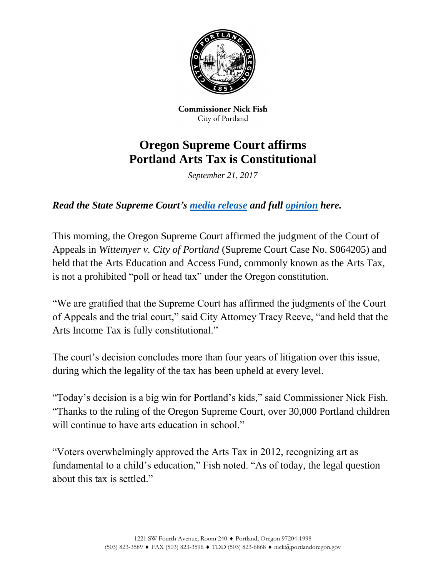

**Commissioner Nick Fish** City of Portland

## **Oregon Supreme Court affirms Portland Arts Tax is Constitutional**

*September 21, 2017*

*Read the State Supreme Court's [media release](http://www.courts.oregon.gov/news/Lists/ArticleNews/Attachments/721/7a8954db1e3d9b4a9a202d061502da0f-2017_09_21_Media_Release_FINAL_SLF.pdf) and full [opinion](https://www.portlandoregon.gov/fish/article/656149) here.*

This morning, the Oregon Supreme Court affirmed the judgment of the Court of Appeals in *Wittemyer v. City of Portland* (Supreme Court Case No. S064205) and held that the Arts Education and Access Fund, commonly known as the Arts Tax, is not a prohibited "poll or head tax" under the Oregon constitution.

"We are gratified that the Supreme Court has affirmed the judgments of the Court of Appeals and the trial court," said City Attorney Tracy Reeve, "and held that the Arts Income Tax is fully constitutional."

The court's decision concludes more than four years of litigation over this issue, during which the legality of the tax has been upheld at every level.

"Today's decision is a big win for Portland's kids," said Commissioner Nick Fish. "Thanks to the ruling of the Oregon Supreme Court, over 30,000 Portland children will continue to have arts education in school."

"Voters overwhelmingly approved the Arts Tax in 2012, recognizing art as fundamental to a child's education," Fish noted. "As of today, the legal question about this tax is settled."